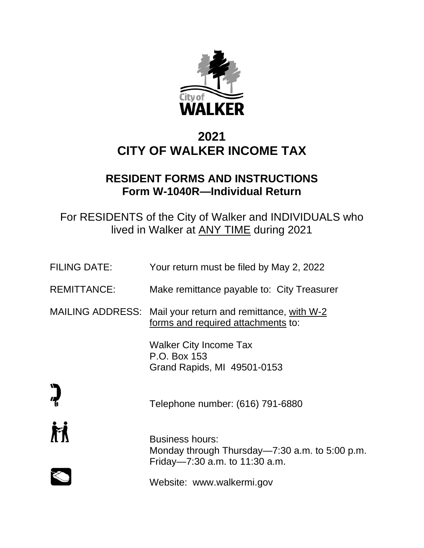

# **2021 CITY OF WALKER INCOME TAX**

# **RESIDENT FORMS AND INSTRUCTIONS Form W-1040R—Individual Return**

For RESIDENTS of the City of Walker and INDIVIDUALS who lived in Walker at ANY TIME during 2021

| <b>FILING DATE:</b>     | Your return must be filed by May 2, 2022                                                                     |
|-------------------------|--------------------------------------------------------------------------------------------------------------|
| <b>REMITTANCE:</b>      | Make remittance payable to: City Treasurer                                                                   |
| <b>MAILING ADDRESS:</b> | Mail your return and remittance, with W-2<br>forms and required attachments to:                              |
|                         | <b>Walker City Income Tax</b><br>P.O. Box 153<br>Grand Rapids, MI 49501-0153                                 |
|                         | Telephone number: (616) 791-6880                                                                             |
|                         | <b>Business hours:</b><br>Monday through Thursday—7:30 a.m. to 5:00 p.m.<br>Friday-7:30 a.m. to $11:30$ a.m. |
|                         | Website: www.walkermi.gov                                                                                    |
|                         |                                                                                                              |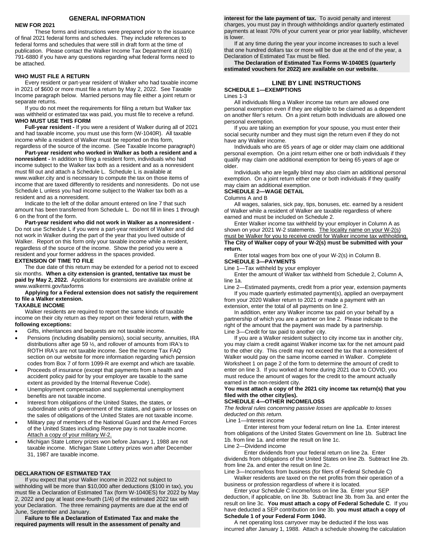#### **GENERAL INFORMATION**

#### **NEW FOR 2021**

These forms and instructions were prepared prior to the issuance of final 2021 federal forms and schedules. They include references to federal forms and schedules that were still in draft form at the time of publication. Please contact the Walker Income Tax Department at (616) 791-6880 if you have any questions regarding what federal forms need to be attached.

#### **WHO MUST FILE A RETURN**

Every resident or part-year resident of Walker who had taxable income in 2021 of \$600 or more must file a return by May 2, 2022. See Taxable Income paragraph below. Married persons may file either a joint return or separate returns.

If you do not meet the requirements for filing a return but Walker tax was withheld or estimated tax was paid, you must file to receive a refund. **WHO MUST USE THIS FORM**

**Full-year resident -** If you were a resident of Walker during all of 2021 and had taxable income, you must use this form (W-1040R). All taxable income while a resident of Walker must be reported on this form, regardless of the source of the income. (See Taxable Income paragraph)

**Part-year resident who worked in Walker as both a resident and a nonresident -** In addition to filing a resident form, individuals who had income subject to the Walker tax both as a resident and as a nonresident must fill out and attach a Schedule L. Schedule L is available at www.walker.city and is necessary to compute the tax on those items of income that are taxed differently to residents and nonresidents. Do not use Schedule L unless you had income subject to the Walker tax both as a resident and as a nonresident.

Indicate to the left of the dollar amount entered on line 7 that such amount has been transferred from Schedule L. Do not fill in lines 1 through 6 on the front of the form.

**Part-year resident who did not work in Walker as a nonresident -** Do not use Schedule L if you were a part-year resident of Walker and did not work in Walker during the part of the year that you lived outside of Walker. Report on this form only your taxable income while a resident, regardless of the source of the income. Show the period you were a resident and your former address in the spaces provided.

#### **EXTENSION OF TIME TO FILE**

The due date of this return may be extended for a period not to exceed six months. **When a city extension is granted, tentative tax must be paid by May 2, 2022.** Applications for extensions are available online at www.walkermi.gov/taxforms

#### **Applying for a Federal extension does not satisfy the requirement to file a Walker extension.**

**TAXABLE INCOME**

Walker residents are required to report the same kinds of taxable income on their city return as they report on their federal return, **with the following exceptions:**

- Gifts, inheritances and bequests are not taxable income.
- Pensions (including disability pensions), social security, annuities, IRA distributions after age 59 ½, and rollover of amounts from IRA's to ROTH IRA's are not taxable income. See the Income Tax FAQ section on our website for more information regarding which pension codes from Box 7 of form 1099-R are exempt and which are taxable.
- Proceeds of insurance (except that payments from a health and accident policy paid for by your employer are taxable to the same extent as provided by the Internal Revenue Code).
- Unemployment compensation and supplemental unemployment benefits are not taxable income.
- Interest from obligations of the United States, the states, or subordinate units of government of the states, and gains or losses on the sales of obligations of the United States are not taxable income.
- Military pay of members of the National Guard and the Armed Forces of the United States including Reserve pay is not taxable income. Attach a copy of your military W-2.
- Michigan State Lottery prizes won before January 1, 1988 are not taxable income. Michigan State Lottery prizes won after December 31, 1987 are taxable income.

#### **DECLARATION OF ESTIMATED TAX**

If you expect that your Walker income in 2022 not subject to withholding will be more than \$10,000 after deductions (\$100 in tax), you must file a Declaration of Estimated Tax (form W-1040ES) for 2022 by May 2, 2022 and pay at least one-fourth (1/4) of the estimated 2022 tax with your Declaration. The three remaining payments are due at the end of June, September and January.

**Failure to file a Declaration of Estimated Tax and make the required payments will result in the assessment of penalty and** 

**interest for the late payment of tax.** To avoid penalty and interest charges, you must pay in through withholdings and/or quarterly estimated payments at least 70% of your current year or prior year liability, whichever is lower.

If at any time during the year your income increases to such a level that one hundred dollars tax or more will be due at the end of the year, a Declaration of Estimated Tax must be filed.

**The Declaration of Estimated Tax Forms W-1040ES (quarterly estimated vouchers for 2022) are available on our website.**

#### **LINE BY LINE INSTRUCTIONS SCHEDULE 1—EXEMPTIONS**

#### Lines 1-3

All individuals filing a Walker income tax return are allowed one personal exemption even if they are eligible to be claimed as a dependent on another filer's return. On a joint return both individuals are allowed one personal exemption.

If you are taking an exemption for your spouse, you must enter their social security number and they must sign the return even if they do not have any Walker income.

Individuals who are 65 years of age or older may claim one additional personal exemption. On a joint return either one or both individuals if they qualify may claim one additional exemption for being 65 years of age or older.

Individuals who are legally blind may also claim an additional personal exemption. On a joint return either one or both individuals if they qualify may claim an additional exemption.

#### **SCHEDULE 2—WAGE DETAIL**

Columns A and B

All wages, salaries, sick pay, tips, bonuses, etc. earned by a resident of Walker while a resident of Walker are taxable regardless of where earned and must be included on Schedule 2.

Enter Walker income tax withheld by your employer in Column A as shown on your 2021 W-2 statements. The locality name on your W-2(s) must be Walker for you to receive credit for Walker income tax withholding. **The City of Walker copy of your W-2(s) must be submitted with your return.**

Enter total wages from box one of your W-2(s) in Column B. **SCHEDULE 3—PAYMENTS**

Line 1—Tax withheld by your employer

Enter the amount of Walker tax withheld from Schedule 2, Column A, line 1a.

Line 2—Estimated payments, credit from a prior year, extension payments If you made quarterly estimated payment(s), applied an overpayment from your 2020 Walker return to 2021 or made a payment with an extension, enter the total of all payments on line 2.

In addition, enter any Walker income tax paid on your behalf by a partnership of which you are a partner on line 2. Please indicate to the right of the amount that the payment was made by a partnership. Line 3—Credit for tax paid to another city.

If you are a Walker resident subject to city income tax in another city, you may claim a credit against Walker income tax for the net amount paid to the other city. This credit may not exceed the tax that a nonresident of Walker would pay on the same income earned in Walker. Complete Worksheet 1 on page 2 of the form to determine the amount of credit to enter on line 3. If you worked at home during 2021 due to COVID, you must reduce the amount of wages for the credit to the amount actually earned in the non-resident city.

**You must attach a copy of the 2021 city income tax return(s) that you filed with the other city(ies).**

#### **SCHEDULE 4—OTHER INCOME/LOSS**

*The federal rules concerning passive losses are applicable to losses deducted on this return.*

Line 1—Interest income

Enter interest from your federal return on line 1a. Enter interest from obligations of the United States Government on line 1b. Subtract line 1b. from line 1a. and enter the result on line 1c. Line 2—Dividend income

Enter dividends from your federal return on line 2a. Enter dividends from obligations of the United States on line 2b. Subtract line 2b. from line 2a. and enter the result on line 2c.

Line 3—Income/loss from business (for filers of Federal Schedule C) Walker residents are taxed on the net profits from their operation of a business or profession regardless of where it is located.

Enter your Schedule C income/loss on line 3a. Enter your SEP deduction, if applicable, on line 3b. Subtract line 3b. from 3a. and enter the result on line 3c. **You must attach a copy of Federal Schedule C**. If you have deducted a SEP contribution on line 3b. **you must attach a copy of Schedule 1 of your Federal Form 1040.**

A net operating loss carryover may be deducted if the loss was incurred after January 1, 1988. Attach a schedule showing the calculation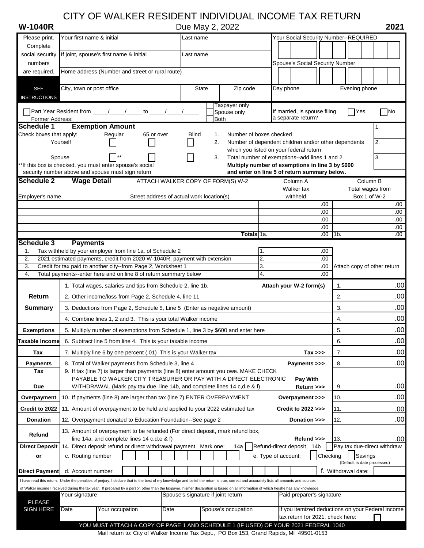# CITY OF WALKER RESIDENT INDIVIDUAL INCOME TAX RETURN

**W-1040R** Due May 2, 2022 **2021**

| Please print.           | Your first name & initial                                                                                                                                                                                                                                                 |                                           |                                   | Last name    |  |                            |            |    | Your Social Security Number--REQUIRED              |                        |                                    |                               |                             |                     |                                  |                   |
|-------------------------|---------------------------------------------------------------------------------------------------------------------------------------------------------------------------------------------------------------------------------------------------------------------------|-------------------------------------------|-----------------------------------|--------------|--|----------------------------|------------|----|----------------------------------------------------|------------------------|------------------------------------|-------------------------------|-----------------------------|---------------------|----------------------------------|-------------------|
| Complete                |                                                                                                                                                                                                                                                                           |                                           |                                   |              |  |                            |            |    |                                                    |                        |                                    |                               |                             |                     |                                  |                   |
| social security         | If joint, spouse's first name & initial                                                                                                                                                                                                                                   |                                           |                                   | Last name    |  |                            |            |    |                                                    |                        |                                    |                               |                             |                     |                                  |                   |
| numbers                 |                                                                                                                                                                                                                                                                           |                                           |                                   |              |  |                            |            |    | Spouse's Social Security Number                    |                        |                                    |                               |                             |                     |                                  |                   |
| are required.           | Home address (Number and street or rural route)                                                                                                                                                                                                                           |                                           |                                   |              |  |                            |            |    |                                                    |                        |                                    |                               |                             |                     |                                  |                   |
| <b>SEE</b>              | City, town or post office                                                                                                                                                                                                                                                 |                                           |                                   | <b>State</b> |  |                            | Zip code   |    | Day phone                                          |                        |                                    |                               |                             | Evening phone       |                                  |                   |
| <b>INSTRUCTIONS</b>     |                                                                                                                                                                                                                                                                           |                                           |                                   |              |  |                            |            |    |                                                    |                        |                                    |                               |                             |                     |                                  |                   |
|                         |                                                                                                                                                                                                                                                                           |                                           |                                   |              |  | Taxpayer only              |            |    |                                                    |                        |                                    |                               |                             |                     |                                  |                   |
| Former Address:         |                                                                                                                                                                                                                                                                           |                                           |                                   |              |  | Spouse only<br><b>Both</b> |            |    | If married, is spouse filing<br>a separate return? |                        |                                    |                               |                             | $\bigcap$ Yes       |                                  | $\blacksquare$ No |
| Schedule 1              | <b>Exemption Amount</b>                                                                                                                                                                                                                                                   |                                           |                                   |              |  |                            |            |    |                                                    |                        |                                    |                               |                             |                     | 1.                               |                   |
| Check boxes that apply: | Regular<br>65 or over<br>Number of boxes checked<br>Blind<br>1.                                                                                                                                                                                                           |                                           |                                   |              |  |                            |            |    |                                                    |                        |                                    |                               |                             |                     |                                  |                   |
|                         | Number of dependent children and/or other dependents<br>Yourself<br>2.                                                                                                                                                                                                    |                                           |                                   |              |  |                            |            |    | 2.                                                 |                        |                                    |                               |                             |                     |                                  |                   |
| Spouse                  | which you listed on your federal return<br>Total number of exemptions--add lines 1 and 2<br>3.                                                                                                                                                                            |                                           |                                   |              |  |                            |            |    |                                                    | 3.                     |                                    |                               |                             |                     |                                  |                   |
|                         | **If this box is checked, you must enter spouse's social                                                                                                                                                                                                                  |                                           |                                   |              |  |                            |            |    | Multiply number of exemptions in line 3 by \$600   |                        |                                    |                               |                             |                     |                                  |                   |
|                         | security number above and spouse must sign return                                                                                                                                                                                                                         |                                           |                                   |              |  |                            |            |    | and enter on line 5 of return summary below.       |                        |                                    |                               |                             |                     |                                  |                   |
| <b>Schedule 2</b>       | <b>Wage Detail</b>                                                                                                                                                                                                                                                        |                                           | ATTACH WALKER COPY OF FORM(S) W-2 |              |  |                            |            |    |                                                    | Column A               |                                    |                               |                             |                     | Column B                         |                   |
|                         |                                                                                                                                                                                                                                                                           | Street address of actual work location(s) |                                   |              |  |                            |            |    |                                                    | Walker tax<br>withheld |                                    |                               |                             |                     | Total wages from<br>Box 1 of W-2 |                   |
| Employer's name         |                                                                                                                                                                                                                                                                           |                                           |                                   |              |  |                            |            |    |                                                    |                        |                                    | .00                           |                             |                     |                                  | .00               |
|                         |                                                                                                                                                                                                                                                                           |                                           |                                   |              |  |                            |            |    |                                                    |                        |                                    | .00.                          |                             |                     |                                  | .00               |
|                         |                                                                                                                                                                                                                                                                           |                                           |                                   |              |  |                            |            |    |                                                    |                        |                                    | .00.                          |                             |                     |                                  | .00.              |
|                         |                                                                                                                                                                                                                                                                           |                                           |                                   |              |  |                            | Totals 1a. |    |                                                    |                        |                                    | .00<br>.00<br>11 <sub>b</sub> |                             |                     |                                  | .00<br>.00.       |
| Schedule 3              | <b>Payments</b>                                                                                                                                                                                                                                                           |                                           |                                   |              |  |                            |            |    |                                                    |                        |                                    |                               |                             |                     |                                  |                   |
| 1.                      | Tax withheld by your employer from line 1a. of Schedule 2                                                                                                                                                                                                                 |                                           |                                   |              |  |                            |            | 1. |                                                    |                        |                                    | .00                           |                             |                     |                                  |                   |
| 2.                      | 2021 estimated payments, credit from 2020 W-1040R, payment with extension                                                                                                                                                                                                 |                                           |                                   |              |  |                            |            | 2. |                                                    |                        |                                    | .00.                          |                             |                     |                                  |                   |
| 3.                      | Credit for tax paid to another city--from Page 2, Worksheet 1                                                                                                                                                                                                             |                                           |                                   |              |  |                            |            | 3. |                                                    |                        |                                    | .00.                          | Attach copy of other return |                     |                                  |                   |
| 4.                      | Total payments--enter here and on line 8 of return summary below                                                                                                                                                                                                          |                                           |                                   |              |  |                            |            | 4. |                                                    |                        |                                    | .00.                          |                             |                     |                                  |                   |
|                         | 1. Total wages, salaries and tips from Schedule 2, line 1b.                                                                                                                                                                                                               |                                           |                                   |              |  |                            |            |    | Attach your W-2 form(s)                            |                        |                                    |                               | 1.                          |                     |                                  | .00               |
| <b>Return</b>           | 2. Other income/loss from Page 2, Schedule 4, line 11                                                                                                                                                                                                                     |                                           |                                   |              |  |                            |            |    |                                                    |                        |                                    |                               | .00<br>2.                   |                     |                                  |                   |
| <b>Summary</b>          | .00<br>3.<br>3. Deductions from Page 2, Schedule 5, Line 5 (Enter as negative amount)                                                                                                                                                                                     |                                           |                                   |              |  |                            |            |    |                                                    |                        |                                    |                               |                             |                     |                                  |                   |
|                         | 4. Combine lines 1, 2 and 3. This is your total Walker income<br>4.                                                                                                                                                                                                       |                                           |                                   |              |  |                            |            |    |                                                    | .00                    |                                    |                               |                             |                     |                                  |                   |
| <b>Exemptions</b>       | .00<br>5. Multiply number of exemptions from Schedule 1, line 3 by \$600 and enter here<br>5.                                                                                                                                                                             |                                           |                                   |              |  |                            |            |    |                                                    |                        |                                    |                               |                             |                     |                                  |                   |
| Taxable Incomel         | 6. Subtract line 5 from line 4. This is your taxable income                                                                                                                                                                                                               |                                           |                                   |              |  |                            |            |    |                                                    |                        |                                    |                               | 6.                          |                     |                                  | .00               |
| Tax                     | 7. Multiply line 6 by one percent (.01) This is your Walker tax<br>$Tax \gg$                                                                                                                                                                                              |                                           |                                   |              |  |                            | 7.         |    |                                                    | .00                    |                                    |                               |                             |                     |                                  |                   |
| <b>Payments</b>         | .00<br>8.<br>8. Total of Walker payments from Schedule 3, line 4<br>Payments >>>                                                                                                                                                                                          |                                           |                                   |              |  |                            |            |    |                                                    |                        |                                    |                               |                             |                     |                                  |                   |
| Tax                     | 9. If tax (line 7) is larger than payments (line 8) enter amount you owe. MAKE CHECK                                                                                                                                                                                      |                                           |                                   |              |  |                            |            |    |                                                    |                        |                                    |                               |                             |                     |                                  |                   |
| <b>Due</b>              | PAYABLE TO WALKER CITY TREASURER OR PAY WITH A DIRECT ELECTRONIC<br>WITHDRAWAL (Mark pay tax due, line 14b, and complete lines 14 c,d,e & f)                                                                                                                              |                                           |                                   |              |  |                            |            |    |                                                    |                        | Pay With<br>Return >>>             |                               | 9.                          |                     |                                  | .00               |
| Overpayment             | 10. If payments (line 8) are larger than tax (line 7) ENTER OVERPAYMENT                                                                                                                                                                                                   |                                           |                                   |              |  |                            |            |    |                                                    |                        | Overpayment >>>                    |                               | 10.                         |                     |                                  | .00               |
| Credit to 2022          | 11. Amount of overpayment to be held and applied to your 2022 estimated tax                                                                                                                                                                                               |                                           |                                   |              |  |                            |            |    |                                                    |                        | <b>Credit to 2022 &gt;&gt;&gt;</b> |                               | 11.                         |                     |                                  | .00               |
| <b>Donation</b>         | 12. Overpayment donated to Education Foundation--See page 2                                                                                                                                                                                                               |                                           |                                   |              |  |                            |            |    |                                                    |                        | Donation >>>                       |                               | 12.                         |                     |                                  | .00               |
|                         |                                                                                                                                                                                                                                                                           |                                           |                                   |              |  |                            |            |    |                                                    |                        |                                    |                               |                             |                     |                                  |                   |
| Refund                  | 13. Amount of overpayment to be refunded (For direct deposit, mark refund box,<br>line 14a, and complete lines 14 c,d,e & f)                                                                                                                                              |                                           |                                   |              |  |                            |            |    |                                                    |                        | Refund >>>                         |                               | 13.                         |                     |                                  | .00               |
| <b>Direct Deposit</b>   | 14. Direct deposit refund or direct withdrawal payment Mark one:                                                                                                                                                                                                          |                                           |                                   |              |  | 14a                        |            |    | Refund-direct deposit                              |                        | 14b                                |                               |                             |                     | Pay tax due-direct withdraw      |                   |
| or                      | c. Routing number                                                                                                                                                                                                                                                         |                                           |                                   |              |  |                            |            |    | e. Type of account:                                |                        |                                    | Checking                      |                             | Savings             |                                  |                   |
|                         |                                                                                                                                                                                                                                                                           |                                           |                                   |              |  |                            |            |    |                                                    |                        |                                    |                               |                             |                     | (Default is date processed)      |                   |
| Direct Payment          | d. Account number                                                                                                                                                                                                                                                         |                                           |                                   |              |  |                            |            |    |                                                    |                        |                                    |                               |                             | f. Withdrawal date: |                                  |                   |
|                         | I have read this return. Under the penalties of perjury, I declare that to the best of my knowledge and belief the return is true, correct and accurately lists all amounts and sources                                                                                   |                                           |                                   |              |  |                            |            |    |                                                    |                        |                                    |                               |                             |                     |                                  |                   |
|                         | of Walker income I received during the tax year. If prepared by a person other than the taxpayer, his/her declaration is based on all information of which he/she has any knowledge.<br>Your signature<br>Paid preparer's signature<br>Spouse's signature if joint return |                                           |                                   |              |  |                            |            |    |                                                    |                        |                                    |                               |                             |                     |                                  |                   |
| <b>PLEASE</b>           |                                                                                                                                                                                                                                                                           |                                           |                                   |              |  |                            |            |    |                                                    |                        |                                    |                               |                             |                     |                                  |                   |
| <b>SIGN HERE</b>        | If you itemized deductions on your Federal income<br>Your occupation<br>Spouse's occupation<br>Date<br>Date<br>tax return for 2021, check here:                                                                                                                           |                                           |                                   |              |  |                            |            |    |                                                    |                        |                                    |                               |                             |                     |                                  |                   |
|                         | YOU MUST ATTACH A COPY OF PAGE 1 AND SCHEDULE 1 (IF USED) OF YOUR 2021 FEDERAL 1040                                                                                                                                                                                       |                                           |                                   |              |  |                            |            |    |                                                    |                        |                                    |                               |                             |                     |                                  |                   |
|                         |                                                                                                                                                                                                                                                                           |                                           |                                   |              |  |                            |            |    |                                                    |                        |                                    |                               |                             |                     |                                  |                   |

Mail return to: City of Walker Income Tax Dept., PO Box 153, Grand Rapids, MI 49501-0153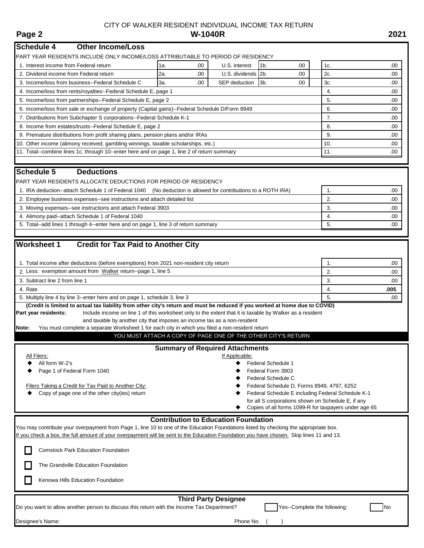# CITY OF WALKER RESIDENT INDIVIDUAL INCOME TAX RETURN<br>W-1040R **Page 2 W-1040R 2021**

| <b>Schedule 4</b><br><b>Other Income/Loss</b>                                                                                                                                                                |                             |                                        |                                                               |     |      |  |  |  |
|--------------------------------------------------------------------------------------------------------------------------------------------------------------------------------------------------------------|-----------------------------|----------------------------------------|---------------------------------------------------------------|-----|------|--|--|--|
| PART YEAR RESIDENTS INCLUDE ONLY INCOME/LOSS ATTRIBUTABLE TO PERIOD OF RESIDENCY                                                                                                                             |                             |                                        |                                                               |     |      |  |  |  |
| 1. Interest income from Federal return                                                                                                                                                                       | 1a.<br>.00                  | U.S. interest                          | 1 <sub>b</sub><br>.00                                         | 1c. | .00  |  |  |  |
| 2. Dividend income from Federal return                                                                                                                                                                       | 2a.<br>.00                  | U.S. dividends                         | 2 <sub>b</sub><br>.00                                         | 2c. | .00  |  |  |  |
| 3. Income/loss from business--Federal Schedule C                                                                                                                                                             | За.<br>.00                  | SEP deduction                          | 3b.<br>.00                                                    | 3c. | .00  |  |  |  |
| 4. Income/loss from rents/royalties--Federal Schedule E, page 1                                                                                                                                              |                             |                                        |                                                               | 4.  | .00. |  |  |  |
| 5. Income/loss from partnerships--Federal Schedule E, page 2                                                                                                                                                 | 5.                          | .00.                                   |                                                               |     |      |  |  |  |
| 6. Income/loss from sale or exchange of property (Capital gains)--Federal Schedule D/Form 8949                                                                                                               |                             |                                        |                                                               | 6.  | .00. |  |  |  |
| 7. Distributions from Subchapter S corporations--Federal Schedule K-1                                                                                                                                        | 7.                          | .00.                                   |                                                               |     |      |  |  |  |
| 8. Income from estates/trusts--Federal Schedule E, page 2                                                                                                                                                    | 8.                          | .00                                    |                                                               |     |      |  |  |  |
| 9. Premature distributions from profit sharing plans, pension plans and/or IRAs                                                                                                                              | 9.                          | .00.                                   |                                                               |     |      |  |  |  |
| 10. Other income (alimony received, gambling winnings, taxable scholarships, etc.)                                                                                                                           | 10.                         | .00.                                   |                                                               |     |      |  |  |  |
| 11. Total--combine lines 1c. through 10--enter here and on page 1, line 2 of return summary                                                                                                                  | 11.                         | .00.                                   |                                                               |     |      |  |  |  |
| <b>Schedule 5</b><br><b>Deductions</b>                                                                                                                                                                       |                             |                                        |                                                               |     |      |  |  |  |
| PART YEAR RESIDENTS ALLOCATE DEDUCTIONS FOR PERIOD OF RESIDENCY                                                                                                                                              |                             |                                        |                                                               |     |      |  |  |  |
| 1. IRA deduction--attach Schedule 1 of Federal 1040 (No deduction is allowed for contributions to a ROTH IRA)                                                                                                |                             |                                        |                                                               | 1.  | .00  |  |  |  |
| 2. Employee business expenses--see instructions and attach detailed list                                                                                                                                     |                             |                                        |                                                               | 2.  | .00. |  |  |  |
| 3. Moving expenses--see instructions and attach Federal 3903                                                                                                                                                 |                             |                                        |                                                               | 3.  | .00. |  |  |  |
| 4. Alimony paid--attach Schedule 1 of Federal 1040                                                                                                                                                           |                             |                                        |                                                               | 4.  | .00. |  |  |  |
| 5. Total--add lines 1 through 4--enter here and on page 1, line 3 of return summary                                                                                                                          |                             |                                        |                                                               | 5.  | .00  |  |  |  |
| <b>Worksheet 1</b><br><b>Credit for Tax Paid to Another City</b>                                                                                                                                             |                             |                                        |                                                               |     |      |  |  |  |
| 1. Total income after deductions (before exemptions) from 2021 non-resident city return                                                                                                                      |                             |                                        |                                                               | 1.  | .00. |  |  |  |
| 2. Less: exemption amount from Walker return--page 1, line 5                                                                                                                                                 |                             |                                        |                                                               | 2.  | .00. |  |  |  |
| 3. Subtract line 2 from line 1                                                                                                                                                                               |                             |                                        |                                                               | 3.  | .00. |  |  |  |
| 4. Rate                                                                                                                                                                                                      |                             |                                        |                                                               | 4.  | .005 |  |  |  |
| 5. Multiply line 4 by line 3--enter here and on page 1, schedule 3, line 3                                                                                                                                   |                             |                                        |                                                               | 5.  | .00. |  |  |  |
| (Credit is limited to actual tax liability from other city's return and must be reduced if you worked at home due to COVID)                                                                                  |                             |                                        |                                                               |     |      |  |  |  |
| Include income on line 1 of this worksheet only to the extent that it is taxable by Walker as a resident<br>Part year residents:<br>and taxable by another city that imposes an income tax as a non-resident |                             |                                        |                                                               |     |      |  |  |  |
| You must complete a separate Worksheet 1 for each city in which you filed a non-resident return<br>Note:                                                                                                     |                             |                                        |                                                               |     |      |  |  |  |
|                                                                                                                                                                                                              |                             |                                        | YOU MUST ATTACH A COPY OF PAGE ONE OF THE OTHER CITY'S RETURN |     |      |  |  |  |
|                                                                                                                                                                                                              |                             | <b>Summary of Required Attachments</b> |                                                               |     |      |  |  |  |
| All Filers:                                                                                                                                                                                                  |                             | If Applicable:                         |                                                               |     |      |  |  |  |
| Federal Schedule 1<br>All form W-2's                                                                                                                                                                         |                             |                                        |                                                               |     |      |  |  |  |
| Page 1 of Federal Form 1040                                                                                                                                                                                  |                             |                                        |                                                               |     |      |  |  |  |
| Federal Form 3903<br>Federal Schedule C                                                                                                                                                                      |                             |                                        |                                                               |     |      |  |  |  |
| Federal Schedule D, Forms 8949, 4797, 6252<br>Filers Taking a Credit for Tax Paid to Another City:                                                                                                           |                             |                                        |                                                               |     |      |  |  |  |
| Copy of page one of the other city(ies) return<br>Federal Schedule E including Federal Schedule K-1                                                                                                          |                             |                                        |                                                               |     |      |  |  |  |
| for all S corporations shown on Schedule E, if any<br>Copies of all forms 1099-R for taxpayers under age 65                                                                                                  |                             |                                        |                                                               |     |      |  |  |  |
|                                                                                                                                                                                                              |                             |                                        |                                                               |     |      |  |  |  |
| <b>Contribution to Education Foundation</b><br>You may contribute your overpayment from Page 1, line 10 to one of the Education Foundations listed by checking the appropriate box.                          |                             |                                        |                                                               |     |      |  |  |  |
| If you check a box, the full amount of your overpayment will be sent to the Education Foundation you have chosen. Skip lines 11 and 13.                                                                      |                             |                                        |                                                               |     |      |  |  |  |
| <b>Comstock Park Education Foundation</b>                                                                                                                                                                    |                             |                                        |                                                               |     |      |  |  |  |
| The Grandville Education Foundation                                                                                                                                                                          |                             |                                        |                                                               |     |      |  |  |  |
| Kenowa Hills Education Foundation                                                                                                                                                                            |                             |                                        |                                                               |     |      |  |  |  |
|                                                                                                                                                                                                              | <b>Third Party Designee</b> |                                        |                                                               |     |      |  |  |  |
| Yes--Complete the following:<br>No<br>Do you want to allow another person to discuss this return with the Income Tax Department?                                                                             |                             |                                        |                                                               |     |      |  |  |  |
| Designee's Name:                                                                                                                                                                                             |                             | Phone No.                              |                                                               |     |      |  |  |  |
|                                                                                                                                                                                                              |                             |                                        |                                                               |     |      |  |  |  |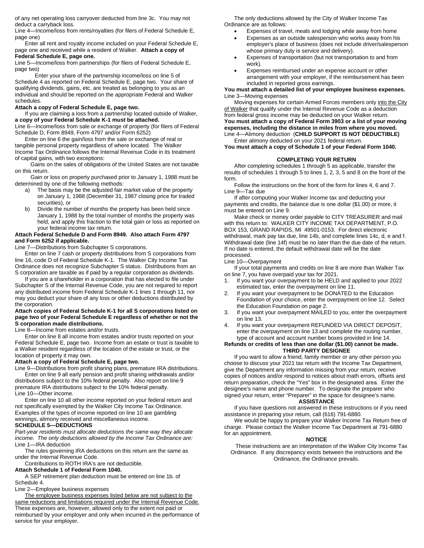of any net operating loss carryover deducted from line 3c. You may not deduct a carryback loss.

Line 4—Income/loss from rents/royalties (for filers of Federal Schedule E, page one)

Enter all rent and royalty income included on your Federal Schedule E, page one and received while a resident of Walker. **Attach a copy of Federal Schedule E, page one.**

Line 5—Income/loss from partnerships (for filers of Federal Schedule E, page two)

Enter your share of the partnership income/loss on line 5 of Schedule 4 as reported on Federal Schedule E, page two. Your share of qualifying dividends, gains, etc. are treated as belonging to you as an individual and should be reported on the appropriate Federal and Walker schedules.

#### **Attach a copy of Federal Schedule E, page two.**

If you are claiming a loss from a partnership located outside of Walker, **a copy of your Federal Schedule K-1 must be attached.**

Line 6—Income/loss from sale or exchange of property (for filers of Federal Schedule D, Form 8949, Form 4797 and/or Form 6252)

Enter on line 6 the gain/loss from the sale or exchange of real or tangible personal property regardless of where located. The Walker Income Tax Ordinance follows the Internal Revenue Code in its treatment of capital gains, with two exceptions:

 Gains on the sales of obligations of the United States are not taxable on this return.

 Gain or loss on property purchased prior to January 1, 1988 must be determined by one of the following methods:

- a) The basis may be the adjusted fair market value of the property on January 1, 1988 (December 31, 1987 closing price for traded securities), or
- b) Divide the number of months the property has been held since January 1, 1988 by the total number of months the property was held, and apply this fraction to the total gain or loss as reported on your federal income tax return.

#### **Attach Federal Schedule D and Form 8949. Also attach Form 4797 and Form 6252 if applicable.**

Line 7—Distributions from Subchapter S corporations.

Enter on line 7 cash or property distributions from S corporations from line 16, code D of Federal Schedule K-1. The Walker City Income Tax Ordinance does not recognize Subchapter S status. Distributions from an S corporation are taxable as if paid by a regular corporation as dividends.

If you are a shareholder in a corporation that has elected to file under Subchapter S of the Internal Revenue Code, you are not required to report any distributed income from Federal Schedule K-1 lines 1 through 11, nor may you deduct your share of any loss or other deductions distributed by the corporation.

#### **Attach copies of Federal Schedule K-1 for all S corporations listed on page two of your Federal Schedule E regardless of whether or not the S corporation made distributions.**

Line 8—Income from estates and/or trusts.

Enter on line 8 all income from estates and/or trusts reported on your Federal Schedule E, page two. Income from an estate or trust is taxable to a Walker resident regardless of the location of the estate or trust, or the location of property it may own.

#### **Attach a copy of Federal Schedule E, page two.**

Line 9—Distributions from profit sharing plans, premature IRA distributions. Enter on line 9 all early pension and profit sharing withdrawals and/or distributions subject to the 10% federal penalty. Also report on line 9 premature IRA distributions subject to the 10% federal penalty. Line 10—Other income.

Enter on line 10 all other income reported on your federal return and not specifically exempted by the Walker City Income Tax Ordinance. Examples of the types of income reported on line 10 are gambling winnings, alimony received and miscellaneous income.

#### **SCHEDULE 5—DEDUCTIONS**

*Part-year residents must allocate deductions the same way they allocate income. The only deductions allowed by the Income Tax Ordinance are:* Line 1—IRA deduction

The rules governing IRA deductions on this return are the same as under the Internal Revenue Code.

Contributions to ROTH IRA's are not deductible.

#### **Attach Schedule 1 of Federal Form 1040.**

A SEP retirement plan deduction must be entered on line 1b. of Schedule 4.

Line 2—Employee business expenses

The employee business expenses listed below are not subject to the same reductions and limitations required under the Internal Revenue Code. These expenses are, however, allowed only to the extent not paid or reimbursed by your employer and only when incurred in the performance of service for your employer.

The only deductions allowed by the City of Walker Income Tax Ordinance are as follows:

- Expenses of travel, meals and lodging while away from home
	- Expenses as an outside salesperson who works away from his employer's place of business (does not include driver/salesperson whose primary duty is service and delivery).
- Expenses of transportation (but not transportation to and from work).
- Expenses reimbursed under an expense account or other arrangement with your employer, if the reimbursement has been included in reported gross earnings.

#### **You must attach a detailed list of your employee business expenses.** Line 3—Moving expenses

Moving expenses for certain Armed Forces members only into the City of Walker that qualify under the Internal Revenue Code as a deduction from federal gross income may be deducted on your Walker return. **You must attach a copy of Federal Form 3903 or a list of your moving expenses, including the distance in miles from where you moved.** Line 4—Alimony deduction (**CHILD SUPPORT IS NOT DEDUCTIBLE)** Enter alimony deducted on your 2021 federal return.

#### **You must attach a copy of Schedule 1 of your Federal Form 1040.**

#### **COMPLETING YOUR RETURN**

After completing schedules 1 through 5 as applicable, transfer the results of schedules 1 through 5 to lines 1, 2, 3, 5 and 8 on the front of the form.

Follow the instructions on the front of the form for lines 4, 6 and 7. Line 9—Tax due

If after computing your Walker Income tax and deducting your payments and credits, the balance due is one dollar (\$1.00) or more, it must be entered on Line 9.

Make check or money order payable to CITY TREASURER and mail with this return to: WALKER CITY INCOME TAX DEPARTMENT, P.O. BOX 153, GRAND RAPIDS, MI 49501-0153. For direct electronic withdrawal, mark pay tax due, line 14b, and complete lines 14c, d, e and f. Withdrawal date (line 14f) must be no later than the due date of the return. If no date is entered, the default withdrawal date will be the date processed.

Line 10—Overpayment

If your total payments and credits on line 8 are more than Walker Tax on line 7, you have overpaid your tax for 2021.

- If you want your overpayment to be HELD and applied to your 2022 estimated tax, enter the overpayment on line 11.
- 2. If you want your overpayment to be DONATED to the Education Foundation of your choice, enter the overpayment on line 12. Select the Education Foundation on page 2.
- 3. If you want your overpayment MAILED to you, enter the overpayment on line 13.
- 4. If you want your overpayment REFUNDED VIA DIRECT DEPOSIT, enter the overpayment on line 13 and complete the routing number, type of account and account number boxes provided in line 14.

#### **Refunds or credits of less than one dollar (\$1.00) cannot be made. THIRD PARTY DESIGNEE**

If you want to allow a friend, family member or any other person you choose to discuss your 2021 tax return with the Income Tax Department, give the Department any information missing from your return, receive copies of notices and/or respond to notices about math errors, offsets and return preparation, check the "Yes" box in the designated area. Enter the designee's name and phone number. To designate the preparer who signed your return, enter "Preparer" in the space for designee's name.

#### **ASSISTANCE**

If you have questions not answered in these instructions or if you need assistance in preparing your return, call (616) 791-6880.

We would be happy to prepare your Walker Income Tax Return free of charge. Please contact the Walker Income Tax Department at 791-6880 for an appointment.

#### **NOTICE**

These instructions are an interpretation of the Walker City Income Tax Ordinance. If any discrepancy exists between the instructions and the Ordinance, the Ordinance prevails.